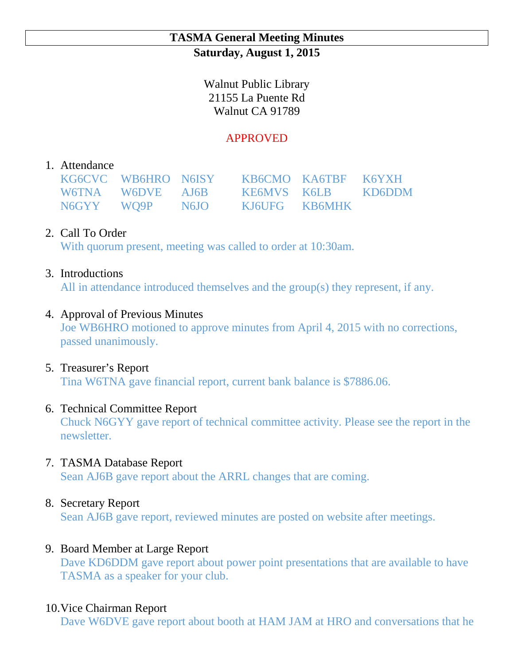### **TASMA General Meeting Minutes Saturday, August 1, 2015**

Walnut Public Library 21155 La Puente Rd Walnut CA 91789

# APPROVED

## 1. Attendance

|  | KG6CVC WB6HRO N6ISY KB6CMO KA6TBF K6YXH |  |
|--|-----------------------------------------|--|
|  | W6TNA W6DVE AJ6B KE6MVS K6LB KD6DDM     |  |
|  | N6GYY WQ9P N6JO KJ6UFG KB6MHK           |  |

# 2. Call To Order

With quorum present, meeting was called to order at 10:30am.

## 3. Introductions

All in attendance introduced themselves and the group(s) they represent, if any.

## 4. Approval of Previous Minutes

Joe WB6HRO motioned to approve minutes from April 4, 2015 with no corrections, passed unanimously.

#### 5. Treasurer's Report

Tina W6TNA gave financial report, current bank balance is \$7886.06.

## 6. Technical Committee Report

Chuck N6GYY gave report of technical committee activity. Please see the report in the newsletter.

#### 7. TASMA Database Report

Sean AJ6B gave report about the ARRL changes that are coming.

## 8. Secretary Report

Sean AJ6B gave report, reviewed minutes are posted on website after meetings.

## 9. Board Member at Large Report

Dave KD6DDM gave report about power point presentations that are available to have TASMA as a speaker for your club.

## 10.Vice Chairman Report

Dave W6DVE gave report about booth at HAM JAM at HRO and conversations that he